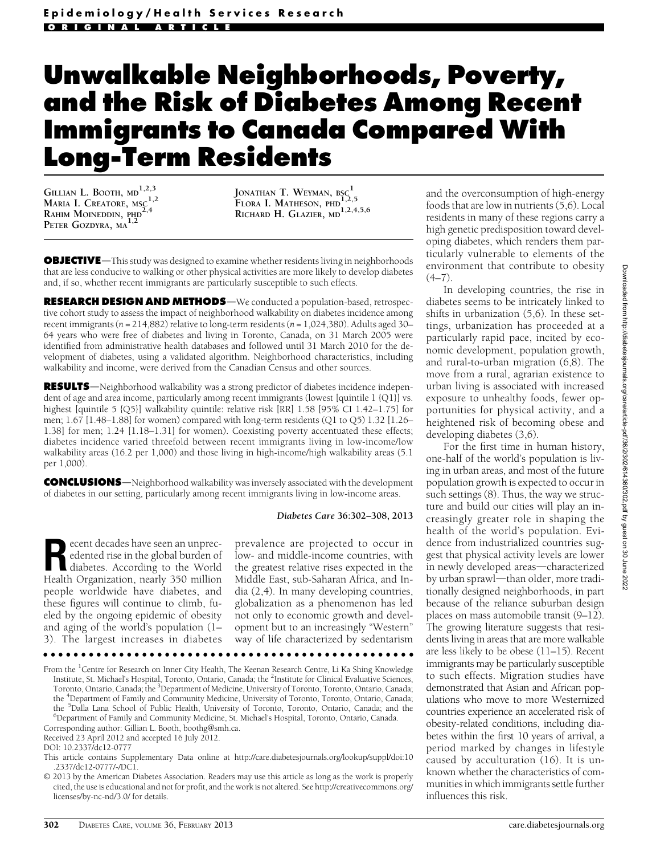# Unwalkable Neighborhoods, Poverty, and the Risk of Diabetes Among Recent Immigrants to Canada Compared With Long-Term Residents

GILLIAN L. BOOTH,  $MD<sup>1,2,3</sup>$ MARIA I. CREATORE, MSC<sup>1,2</sup> RAHIM MOINEDDIN, PHD<sup>2,4</sup> PETER GOZDYRA, MA<sup>1,2</sup>

JONATHAN T. WEYMAN,  $_{\rm BSC}^{-1}$ FLORA I. MATHESON, PHD<sub>1,2,5</sub> RICHARD H. GLAZIER, MD<sup>1,2,4,5,6</sup>

**OBJECTIVE**—This study was designed to examine whether residents living in neighborhoods that are less conducive to walking or other physical activities are more likely to develop diabetes and, if so, whether recent immigrants are particularly susceptible to such effects.

RESEARCH DESIGN AND METHODS—We conducted a population-based, retrospective cohort study to assess the impact of neighborhood walkability on diabetes incidence among recent immigrants ( $n = 214,882$ ) relative to long-term residents ( $n = 1,024,380$ ). Adults aged 30– 64 years who were free of diabetes and living in Toronto, Canada, on 31 March 2005 were identified from administrative health databases and followed until 31 March 2010 for the development of diabetes, using a validated algorithm. Neighborhood characteristics, including walkability and income, were derived from the Canadian Census and other sources.

**RESULTS**—Neighborhood walkability was a strong predictor of diabetes incidence independent of age and area income, particularly among recent immigrants (lowest [quintile 1 {Q1}] vs. highest [quintile 5 {Q5}] walkability quintile: relative risk [RR] 1.58 [95% CI 1.42–1.75] for men; 1.67 [1.48–1.88] for women) compared with long-term residents (Q1 to Q5) 1.32 [1.26– 1.38] for men; 1.24 [1.18–1.31] for women). Coexisting poverty accentuated these effects; diabetes incidence varied threefold between recent immigrants living in low-income/low walkability areas (16.2 per 1,000) and those living in high-income/high walkability areas (5.1 per 1,000).

**CONCLUSIONS**—Neighborhood walkability was inversely associated with the development of diabetes in our setting, particularly among recent immigrants living in low-income areas.

#### Diabetes Care 36:302–308, 2013

Execut decades have seen an unprecedented rise in the global burden of<br>diabetes. According to the World<br>Heelth Oxeanization, nearly 250 million edented rise in the global burden of Health Organization, nearly 350 million people worldwide have diabetes, and these figures will continue to climb, fueled by the ongoing epidemic of obesity and aging of the world's population (1– 3). The largest increases in diabetes

prevalence are projected to occur in low- and middle-income countries, with the greatest relative rises expected in the Middle East, sub-Saharan Africa, and India (2,4). In many developing countries, globalization as a phenomenon has led not only to economic growth and development but to an increasingly "Western" way of life characterized by sedentarism

 $\cdots$ 

From the <sup>1</sup>Centre for Research on Inner City Health, The Keenan Research Centre, Li Ka Shing Knowledge Institute, St. Michael's Hospital, Toronto, Ontario, Canada; the <sup>2</sup>Institute for Clinical Evaluative Sciences, Toronto, Ontario, Canada; the <sup>3</sup>Department of Medicine, University of Toronto, Toronto, Ontario, Canada; the <sup>4</sup>Department of Family and Community Medicine, University of Toronto, Toronto, Ontario, Canada; the <sup>5</sup>Dalla Lana School of Public Health, University of Toronto, Toronto, Ontario, Canada; and the <sup>6</sup>Department of Equily and Community Medicine, St. Michael's Heapital Toronto, Ontario, Canada Department of Family and Community Medicine, St. Michael's Hospital, Toronto, Ontario, Canada.

Corresponding author: Gillian L. Booth, [boothg@smh.ca](mailto:boothg@smh.ca).

Received 23 April 2012 and accepted 16 July 2012.

DOI: 10.2337/dc12-0777

and the overconsumption of high-energy foods that are low in nutrients (5,6). Local residents in many of these regions carry a high genetic predisposition toward developing diabetes, which renders them particularly vulnerable to elements of the environment that contribute to obesity  $(4–7)$ .

In developing countries, the rise in diabetes seems to be intricately linked to shifts in urbanization (5,6). In these settings, urbanization has proceeded at a particularly rapid pace, incited by economic development, population growth, and rural-to-urban migration (6,8). The move from a rural, agrarian existence to urban living is associated with increased exposure to unhealthy foods, fewer opportunities for physical activity, and a heightened risk of becoming obese and developing diabetes (3,6).

For the first time in human history, one-half of the world's population is living in urban areas, and most of the future population growth is expected to occur in such settings (8). Thus, the way we structure and build our cities will play an increasingly greater role in shaping the health of the world's population. Evidence from industrialized countries suggest that physical activity levels are lower in newly developed areas—characterized by urban sprawl-than older, more traditionally designed neighborhoods, in part because of the reliance suburban design places on mass automobile transit (9–12). The growing literature suggests that residents living in areas that are more walkable are less likely to be obese (11–15). Recent immigrants may be particularly susceptible to such effects. Migration studies have demonstrated that Asian and African populations who move to more Westernized countries experience an accelerated risk of obesity-related conditions, including diabetes within the first 10 years of arrival, a period marked by changes in lifestyle caused by acculturation (16). It is unknown whether the characteristics of communities in which immigrants settle further influences this risk.

This article contains Supplementary Data online at [http://care.diabetesjournals.org/lookup/suppl/doi:10](http://care.diabetesjournals.org/lookup/suppl/doi:10.2337/dc12-0777/-/DC1) [.2337/dc12-0777/-/DC1](http://care.diabetesjournals.org/lookup/suppl/doi:10.2337/dc12-0777/-/DC1).

<sup>© 2013</sup> by the American Diabetes Association. Readers may use this article as long as the work is properly cited, the use is educational and not for profit, and the work is not altered. See [http://creativecommons.org/](http://creativecommons.org/licenses/by-nc-nd/3.0/) [licenses/by-nc-nd/3.0/](http://creativecommons.org/licenses/by-nc-nd/3.0/) for details.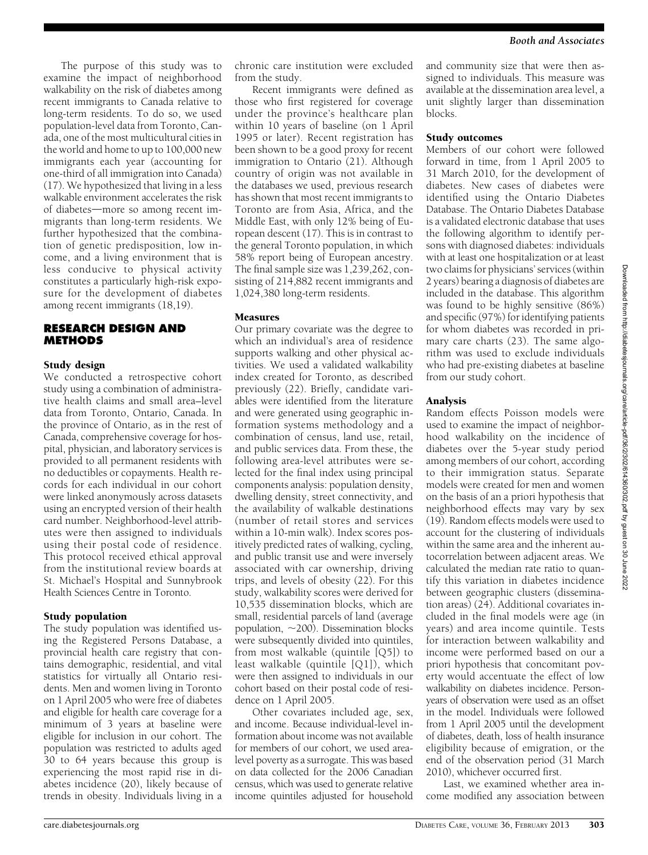The purpose of this study was to examine the impact of neighborhood walkability on the risk of diabetes among recent immigrants to Canada relative to long-term residents. To do so, we used population-level data from Toronto, Canada, one of the most multicultural cities in the world and home to up to 100,000 new immigrants each year (accounting for one-third of all immigration into Canada) (17). We hypothesized that living in a less walkable environment accelerates the risk of diabetes—more so among recent immigrants than long-term residents. We further hypothesized that the combination of genetic predisposition, low income, and a living environment that is less conducive to physical activity constitutes a particularly high-risk exposure for the development of diabetes among recent immigrants (18,19).

# RESEARCH DESIGN AND **METHODS**

## Study design

We conducted a retrospective cohort study using a combination of administrative health claims and small area–level data from Toronto, Ontario, Canada. In the province of Ontario, as in the rest of Canada, comprehensive coverage for hospital, physician, and laboratory services is provided to all permanent residents with no deductibles or copayments. Health records for each individual in our cohort were linked anonymously across datasets using an encrypted version of their health card number. Neighborhood-level attributes were then assigned to individuals using their postal code of residence. This protocol received ethical approval from the institutional review boards at St. Michael's Hospital and Sunnybrook Health Sciences Centre in Toronto.

# Study population

The study population was identified using the Registered Persons Database, a provincial health care registry that contains demographic, residential, and vital statistics for virtually all Ontario residents. Men and women living in Toronto on 1 April 2005 who were free of diabetes and eligible for health care coverage for a minimum of 3 years at baseline were eligible for inclusion in our cohort. The population was restricted to adults aged 30 to 64 years because this group is experiencing the most rapid rise in diabetes incidence (20), likely because of trends in obesity. Individuals living in a chronic care institution were excluded from the study.

Recent immigrants were defined as those who first registered for coverage under the province's healthcare plan within 10 years of baseline (on 1 April 1995 or later). Recent registration has been shown to be a good proxy for recent immigration to Ontario (21). Although country of origin was not available in the databases we used, previous research has shown that most recent immigrants to Toronto are from Asia, Africa, and the Middle East, with only 12% being of European descent (17). This is in contrast to the general Toronto population, in which 58% report being of European ancestry. The final sample size was 1,239,262, consisting of 214,882 recent immigrants and 1,024,380 long-term residents.

# Measures

Our primary covariate was the degree to which an individual's area of residence supports walking and other physical activities. We used a validated walkability index created for Toronto, as described previously (22). Briefly, candidate variables were identified from the literature and were generated using geographic information systems methodology and a combination of census, land use, retail, and public services data. From these, the following area-level attributes were selected for the final index using principal components analysis: population density, dwelling density, street connectivity, and the availability of walkable destinations (number of retail stores and services within a 10-min walk). Index scores positively predicted rates of walking, cycling, and public transit use and were inversely associated with car ownership, driving trips, and levels of obesity (22). For this study, walkability scores were derived for 10,535 dissemination blocks, which are small, residential parcels of land (average population,  $\sim$ 200). Dissemination blocks were subsequently divided into quintiles, from most walkable (quintile [Q5]) to least walkable (quintile [Q1]), which were then assigned to individuals in our cohort based on their postal code of residence on 1 April 2005.

Other covariates included age, sex, and income. Because individual-level information about income was not available for members of our cohort, we used arealevel poverty as a surrogate. This was based on data collected for the 2006 Canadian census, which was used to generate relative income quintiles adjusted for household and community size that were then assigned to individuals. This measure was available at the dissemination area level, a unit slightly larger than dissemination blocks.

### Study outcomes

Members of our cohort were followed forward in time, from 1 April 2005 to 31 March 2010, for the development of diabetes. New cases of diabetes were identified using the Ontario Diabetes Database. The Ontario Diabetes Database is a validated electronic database that uses the following algorithm to identify persons with diagnosed diabetes: individuals with at least one hospitalization or at least two claims for physicians'services (within 2 years) bearing a diagnosis of diabetes are included in the database. This algorithm was found to be highly sensitive (86%) and specific (97%) for identifying patients for whom diabetes was recorded in primary care charts (23). The same algorithm was used to exclude individuals who had pre-existing diabetes at baseline from our study cohort.

# Analysis

Random effects Poisson models were used to examine the impact of neighborhood walkability on the incidence of diabetes over the 5-year study period among members of our cohort, according to their immigration status. Separate models were created for men and women on the basis of an a priori hypothesis that neighborhood effects may vary by sex (19). Random effects models were used to account for the clustering of individuals within the same area and the inherent autocorrelation between adjacent areas. We calculated the median rate ratio to quantify this variation in diabetes incidence between geographic clusters (dissemination areas) (24). Additional covariates included in the final models were age (in years) and area income quintile. Tests for interaction between walkability and income were performed based on our a priori hypothesis that concomitant poverty would accentuate the effect of low walkability on diabetes incidence. Personyears of observation were used as an offset in the model. Individuals were followed from 1 April 2005 until the development of diabetes, death, loss of health insurance eligibility because of emigration, or the end of the observation period (31 March 2010), whichever occurred first.

Last, we examined whether area income modified any association between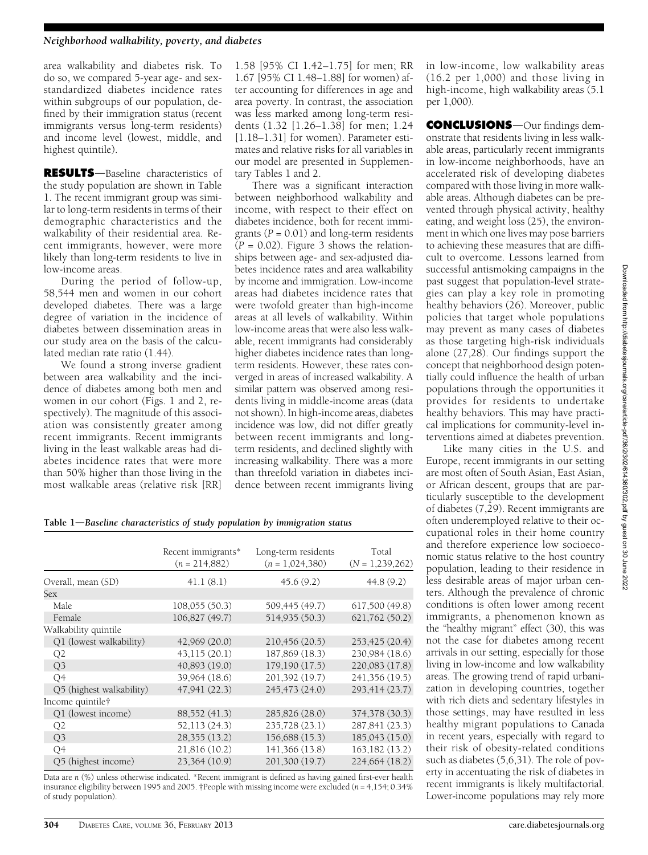area walkability and diabetes risk. To do so, we compared 5-year age- and sexstandardized diabetes incidence rates within subgroups of our population, defined by their immigration status (recent immigrants versus long-term residents) and income level (lowest, middle, and highest quintile).

**RESULTS**-Baseline characteristics of the study population are shown in Table 1. The recent immigrant group was similar to long-term residents in terms of their demographic characteristics and the walkability of their residential area. Recent immigrants, however, were more likely than long-term residents to live in low-income areas.

During the period of follow-up, 58,544 men and women in our cohort developed diabetes. There was a large degree of variation in the incidence of diabetes between dissemination areas in our study area on the basis of the calculated median rate ratio (1.44).

We found a strong inverse gradient between area walkability and the incidence of diabetes among both men and women in our cohort (Figs. 1 and 2, respectively). The magnitude of this association was consistently greater among recent immigrants. Recent immigrants living in the least walkable areas had diabetes incidence rates that were more than 50% higher than those living in the most walkable areas (relative risk [RR]

1.58 [95% CI 1.42–1.75] for men; RR 1.67 [95% CI 1.48–1.88] for women) after accounting for differences in age and area poverty. In contrast, the association was less marked among long-term residents (1.32 [1.26–1.38] for men; 1.24 [1.18–1.31] for women). Parameter estimates and relative risks for all variables in our model are presented in [Supplemen](http://care.diabetesjournals.org/lookup/suppl/doi:10.2337/dc12-0777/-/DC1)[tary Tables 1 and 2.](http://care.diabetesjournals.org/lookup/suppl/doi:10.2337/dc12-0777/-/DC1)

There was a significant interaction between neighborhood walkability and income, with respect to their effect on diabetes incidence, both for recent immigrants ( $P = 0.01$ ) and long-term residents  $(P = 0.02)$ . Figure 3 shows the relationships between age- and sex-adjusted diabetes incidence rates and area walkability by income and immigration. Low-income areas had diabetes incidence rates that were twofold greater than high-income areas at all levels of walkability. Within low-income areas that were also less walkable, recent immigrants had considerably higher diabetes incidence rates than longterm residents. However, these rates converged in areas of increased walkability. A similar pattern was observed among residents living in middle-income areas (data not shown). In high-income areas, diabetes incidence was low, did not differ greatly between recent immigrants and longterm residents, and declined slightly with increasing walkability. There was a more than threefold variation in diabetes incidence between recent immigrants living

in low-income, low walkability areas (16.2 per 1,000) and those living in high-income, high walkability areas (5.1 per 1,000).

CONCLUSIONS-Our findings demonstrate that residents living in less walkable areas, particularly recent immigrants in low-income neighborhoods, have an accelerated risk of developing diabetes compared with those living in more walkable areas. Although diabetes can be prevented through physical activity, healthy eating, and weight loss (25), the environment in which one lives may pose barriers to achieving these measures that are difficult to overcome. Lessons learned from successful antismoking campaigns in the past suggest that population-level strategies can play a key role in promoting healthy behaviors (26). Moreover, public policies that target whole populations may prevent as many cases of diabetes as those targeting high-risk individuals alone (27,28). Our findings support the concept that neighborhood design potentially could influence the health of urban populations through the opportunities it provides for residents to undertake healthy behaviors. This may have practical implications for community-level interventions aimed at diabetes prevention.

Like many cities in the U.S. and Europe, recent immigrants in our setting are most often of South Asian, East Asian, or African descent, groups that are particularly susceptible to the development of diabetes (7,29). Recent immigrants are often underemployed relative to their occupational roles in their home country and therefore experience low socioeconomic status relative to the host country population, leading to their residence in less desirable areas of major urban centers. Although the prevalence of chronic conditions is often lower among recent immigrants, a phenomenon known as the "healthy migrant" effect (30), this was not the case for diabetes among recent arrivals in our setting, especially for those living in low-income and low walkability areas. The growing trend of rapid urbanization in developing countries, together with rich diets and sedentary lifestyles in those settings, may have resulted in less healthy migrant populations to Canada in recent years, especially with regard to their risk of obesity-related conditions such as diabetes (5,6,31). The role of poverty in accentuating the risk of diabetes in recent immigrants is likely multifactorial. Lower-income populations may rely more

Table  $1$ —Baseline characteristics of study population by immigration status

|                          | Recent immigrants*<br>$(n = 214,882)$ | Long-term residents<br>$(n = 1.024, 380)$ | Total<br>$(N = 1,239,262)$ |
|--------------------------|---------------------------------------|-------------------------------------------|----------------------------|
| Overall, mean (SD)       | 41.1(8.1)                             | 45.6(9.2)                                 | 44.8(9.2)                  |
| Sex                      |                                       |                                           |                            |
| Male                     | 108,055 (50.3)                        | 509,445 (49.7)                            | 617,500 (49.8)             |
| Female                   | 106,827 (49.7)                        | 514,935 (50.3)                            | 621,762 (50.2)             |
| Walkability quintile     |                                       |                                           |                            |
| Q1 (lowest walkability)  | 42,969 (20.0)                         | 210,456 (20.5)                            | 253,425 (20.4)             |
| Q2                       | 43,115 (20.1)                         | 187,869 (18.3)                            | 230,984 (18.6)             |
| Q <sub>3</sub>           | 40,893 (19.0)                         | 179,190 (17.5)                            | 220,083 (17.8)             |
| Q <sub>4</sub>           | 39,964 (18.6)                         | 201,392 (19.7)                            | 241,356 (19.5)             |
| Q5 (highest walkability) | 47,941 (22.3)                         | 245,473 (24.0)                            | 293,414 (23.7)             |
| Income quintile†         |                                       |                                           |                            |
| Q1 (lowest income)       | 88,552 (41.3)                         | 285,826 (28.0)                            | 374,378 (30.3)             |
| Q2                       | 52,113 (24.3)                         | 235,728 (23.1)                            | 287,841 (23.3)             |
| Q <sub>3</sub>           | 28,355 (13.2)                         | 156,688 (15.3)                            | 185,043 (15.0)             |
| Q4                       | 21,816 (10.2)                         | 141,366 (13.8)                            | 163,182 (13.2)             |
| Q5 (highest income)      | 23,364 (10.9)                         | 201,300 (19.7)                            | 224,664 (18.2)             |

Data are n (%) unless otherwise indicated. \*Recent immigrant is defined as having gained first-ever health insurance eligibility between 1995 and 2005. †People with missing income were excluded ( $n = 4.154$ ; 0.34%) of study population).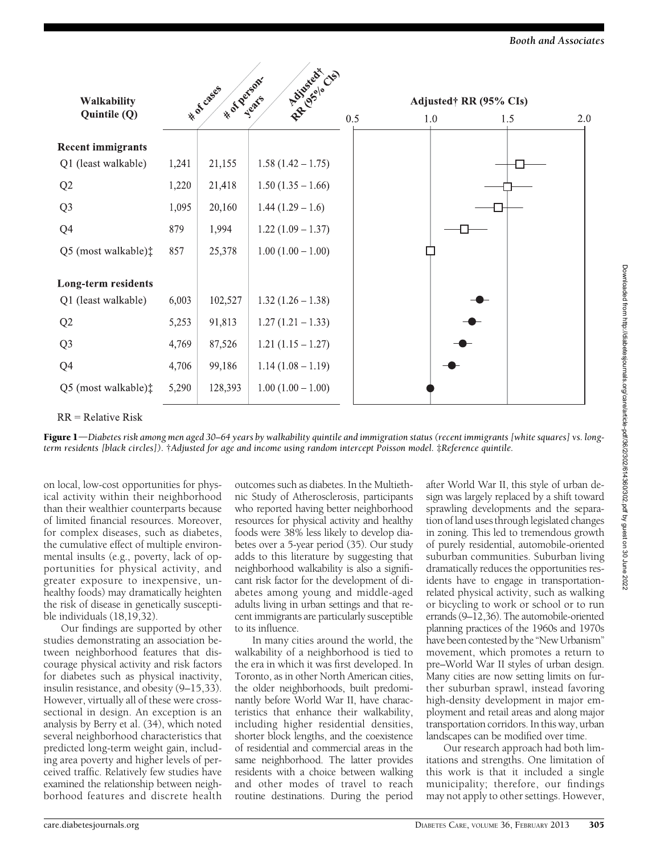Booth and Associates

|                               | R.R. Island<br>* of person |         |                     |     |  |  |                                      |  |     |
|-------------------------------|----------------------------|---------|---------------------|-----|--|--|--------------------------------------|--|-----|
| Walkability<br>Quintile (Q)   | * 01 Cases                 |         |                     | 0.5 |  |  | Adjusted† RR (95% CIs)<br>1.0<br>1.5 |  |     |
|                               |                            |         |                     |     |  |  |                                      |  | 2.0 |
| <b>Recent immigrants</b>      |                            |         |                     |     |  |  |                                      |  |     |
| Q1 (least walkable)           | 1,241                      | 21,155  | $1.58(1.42 - 1.75)$ |     |  |  |                                      |  |     |
| Q2                            | 1,220                      | 21,418  | $1.50(1.35 - 1.66)$ |     |  |  |                                      |  |     |
| Q <sub>3</sub>                | 1,095                      | 20,160  | $1.44(1.29-1.6)$    |     |  |  |                                      |  |     |
| Q <sub>4</sub>                | 879                        | 1,994   | $1.22(1.09 - 1.37)$ |     |  |  |                                      |  |     |
| Q5 (most walkable) $\ddagger$ | 857                        | 25,378  | $1.00(1.00 - 1.00)$ |     |  |  |                                      |  |     |
| Long-term residents           |                            |         |                     |     |  |  |                                      |  |     |
| Q1 (least walkable)           | 6,003                      | 102,527 | $1.32(1.26 - 1.38)$ |     |  |  |                                      |  |     |
| Q2                            | 5,253                      | 91,813  | $1.27(1.21-1.33)$   |     |  |  |                                      |  |     |
| Q <sub>3</sub>                | 4,769                      | 87,526  | $1.21(1.15 - 1.27)$ |     |  |  |                                      |  |     |
| Q <sub>4</sub>                | 4,706                      | 99,186  | $1.14(1.08-1.19)$   |     |  |  |                                      |  |     |
| Q5 (most walkable) $\ddagger$ | 5,290                      | 128,393 | $1.00(1.00 - 1.00)$ |     |  |  |                                      |  |     |

 $\frac{1}{2}$ 

 $RR = Relative Risk$ 

Figure 1—Diabetes risk among men aged 30–64 years by walkability quintile and immigration status (recent immigrants [white squares] vs. longterm residents [black circles]). †Adjusted for age and income using random intercept Poisson model. ‡Reference quintile.

on local, low-cost opportunities for physical activity within their neighborhood than their wealthier counterparts because of limited financial resources. Moreover, for complex diseases, such as diabetes, the cumulative effect of multiple environmental insults (e.g., poverty, lack of opportunities for physical activity, and greater exposure to inexpensive, unhealthy foods) may dramatically heighten the risk of disease in genetically susceptible individuals (18,19,32).

Our findings are supported by other studies demonstrating an association between neighborhood features that discourage physical activity and risk factors for diabetes such as physical inactivity, insulin resistance, and obesity (9–15,33). However, virtually all of these were crosssectional in design. An exception is an analysis by Berry et al. (34), which noted several neighborhood characteristics that predicted long-term weight gain, including area poverty and higher levels of perceived traffic. Relatively few studies have examined the relationship between neighborhood features and discrete health

outcomes such as diabetes. In the Multiethnic Study of Atherosclerosis, participants who reported having better neighborhood resources for physical activity and healthy foods were 38% less likely to develop diabetes over a 5-year period (35). Our study adds to this literature by suggesting that neighborhood walkability is also a significant risk factor for the development of diabetes among young and middle-aged adults living in urban settings and that recent immigrants are particularly susceptible to its influence.

In many cities around the world, the walkability of a neighborhood is tied to the era in which it was first developed. In Toronto, as in other North American cities, the older neighborhoods, built predominantly before World War II, have characteristics that enhance their walkability, including higher residential densities, shorter block lengths, and the coexistence of residential and commercial areas in the same neighborhood. The latter provides residents with a choice between walking and other modes of travel to reach routine destinations. During the period

after World War II, this style of urban design was largely replaced by a shift toward sprawling developments and the separation of land uses through legislated changes in zoning. This led to tremendous growth of purely residential, automobile-oriented suburban communities. Suburban living dramatically reduces the opportunities residents have to engage in transportationrelated physical activity, such as walking or bicycling to work or school or to run errands (9–12,36). The automobile-oriented planning practices of the 1960s and 1970s have been contested by the "New Urbanism" movement, which promotes a return to pre–World War II styles of urban design. Many cities are now setting limits on further suburban sprawl, instead favoring high-density development in major employment and retail areas and along major transportation corridors. In this way, urban landscapes can be modified over time.

Our research approach had both limitations and strengths. One limitation of this work is that it included a single municipality; therefore, our findings may not apply to other settings. However,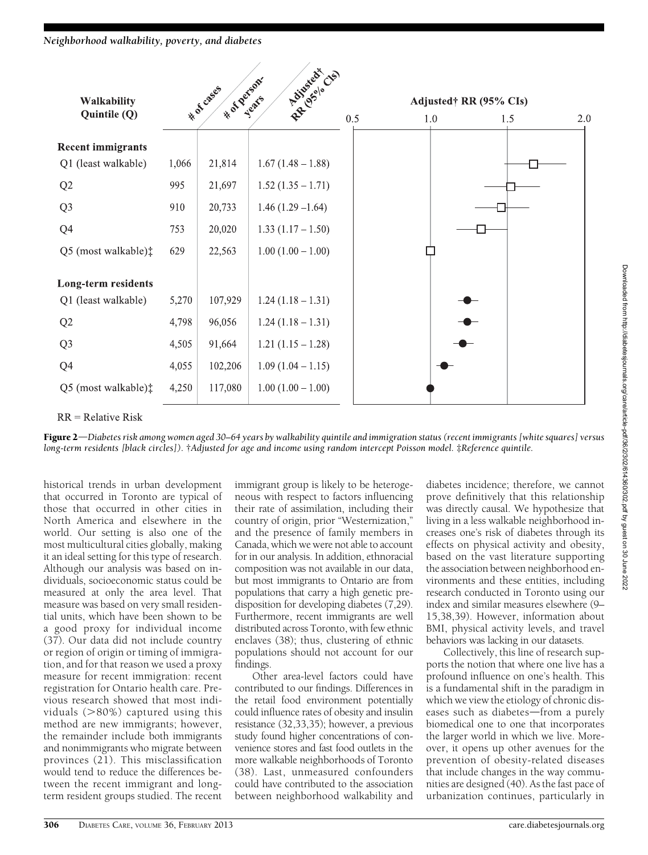# Neighborhood walkability, poverty, and diabetes



 $RR = Relative Risk$ 

Figure 2—Diabetes risk among women aged 30–64 years by walkability quintile and immigration status (recent immigrants [white squares] versus long-term residents [black circles]). †Adjusted for age and income using random intercept Poisson model. ‡Reference quintile.

historical trends in urban development that occurred in Toronto are typical of those that occurred in other cities in North America and elsewhere in the world. Our setting is also one of the most multicultural cities globally, making it an ideal setting for this type of research. Although our analysis was based on individuals, socioeconomic status could be measured at only the area level. That measure was based on very small residential units, which have been shown to be a good proxy for individual income (37). Our data did not include country or region of origin or timing of immigration, and for that reason we used a proxy measure for recent immigration: recent registration for Ontario health care. Previous research showed that most individuals  $(>80\%)$  captured using this method are new immigrants; however, the remainder include both immigrants and nonimmigrants who migrate between provinces (21). This misclassification would tend to reduce the differences between the recent immigrant and longterm resident groups studied. The recent

immigrant group is likely to be heterogeneous with respect to factors influencing their rate of assimilation, including their country of origin, prior "Westernization," and the presence of family members in Canada, which we were not able to account for in our analysis. In addition, ethnoracial composition was not available in our data, but most immigrants to Ontario are from populations that carry a high genetic predisposition for developing diabetes (7,29). Furthermore, recent immigrants are well distributed across Toronto, with few ethnic enclaves (38); thus, clustering of ethnic populations should not account for our findings.

Other area-level factors could have contributed to our findings. Differences in the retail food environment potentially could influence rates of obesity and insulin resistance (32,33,35); however, a previous study found higher concentrations of convenience stores and fast food outlets in the more walkable neighborhoods of Toronto (38). Last, unmeasured confounders could have contributed to the association between neighborhood walkability and

diabetes incidence; therefore, we cannot prove definitively that this relationship was directly causal. We hypothesize that living in a less walkable neighborhood increases one's risk of diabetes through its effects on physical activity and obesity, based on the vast literature supporting the association between neighborhood environments and these entities, including research conducted in Toronto using our index and similar measures elsewhere (9– 15,38,39). However, information about BMI, physical activity levels, and travel behaviors was lacking in our datasets.

Collectively, this line of research supports the notion that where one live has a profound influence on one's health. This is a fundamental shift in the paradigm in which we view the etiology of chronic diseases such as diabetes-from a purely biomedical one to one that incorporates the larger world in which we live. Moreover, it opens up other avenues for the prevention of obesity-related diseases that include changes in the way communities are designed (40). As the fast pace of urbanization continues, particularly in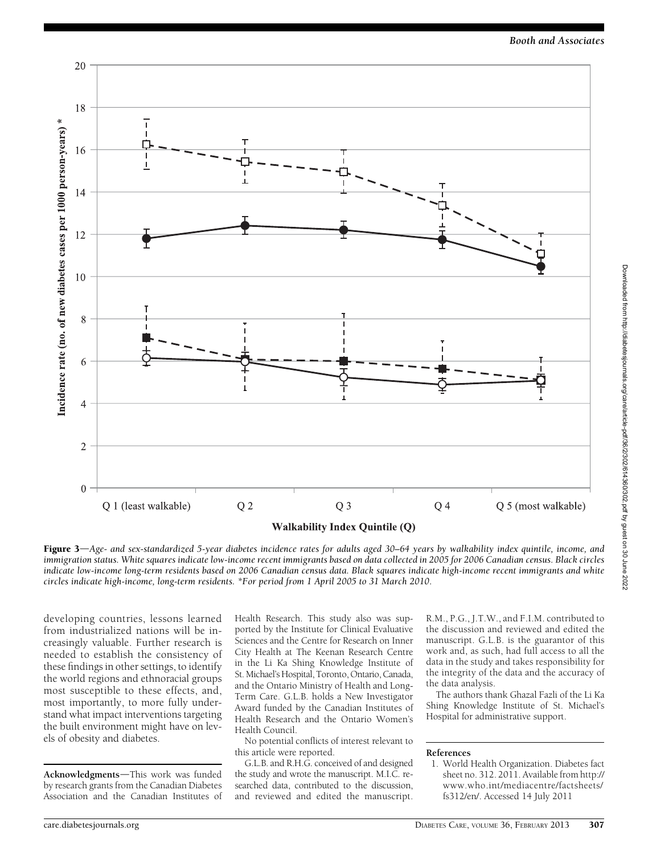

Figure 3—Age- and sex-standardized 5-year diabetes incidence rates for adults aged 30–64 years by walkability index quintile, income, and immigration status. White squares indicate low-income recent immigrants based on data collected in 2005 for 2006 Canadian census. Black circles indicate low-income long-term residents based on 2006 Canadian census data. Black squares indicate high-income recent immigrants and white circles indicate high-income, long-term residents. \*For period from 1 April 2005 to 31 March 2010.

developing countries, lessons learned from industrialized nations will be increasingly valuable. Further research is needed to establish the consistency of these findings in other settings, to identify the world regions and ethnoracial groups most susceptible to these effects, and, most importantly, to more fully understand what impact interventions targeting the built environment might have on levels of obesity and diabetes.

Acknowledgments-This work was funded by research grants from the Canadian Diabetes Association and the Canadian Institutes of Health Research. This study also was supported by the Institute for Clinical Evaluative Sciences and the Centre for Research on Inner City Health at The Keenan Research Centre in the Li Ka Shing Knowledge Institute of St. Michael's Hospital, Toronto, Ontario, Canada, and the Ontario Ministry of Health and Long-Term Care. G.L.B. holds a New Investigator Award funded by the Canadian Institutes of Health Research and the Ontario Women's Health Council.

No potential conflicts of interest relevant to this article were reported.

G.L.B. and R.H.G. conceived of and designed the study and wrote the manuscript. M.I.C. researched data, contributed to the discussion, and reviewed and edited the manuscript. R.M., P.G., J.T.W., and F.I.M. contributed to the discussion and reviewed and edited the manuscript. G.L.B. is the guarantor of this work and, as such, had full access to all the data in the study and takes responsibility for the integrity of the data and the accuracy of the data analysis.

The authors thank Ghazal Fazli of the Li Ka Shing Knowledge Institute of St. Michael's Hospital for administrative support.

#### References

1. World Health Organization. Diabetes fact sheet no. 312. 2011. Available from [http://](http://www.who.int/mediacentre/factsheets/fs312/en/) [www.who.int/mediacentre/factsheets/](http://www.who.int/mediacentre/factsheets/fs312/en/) [fs312/en/](http://www.who.int/mediacentre/factsheets/fs312/en/). Accessed 14 July 2011